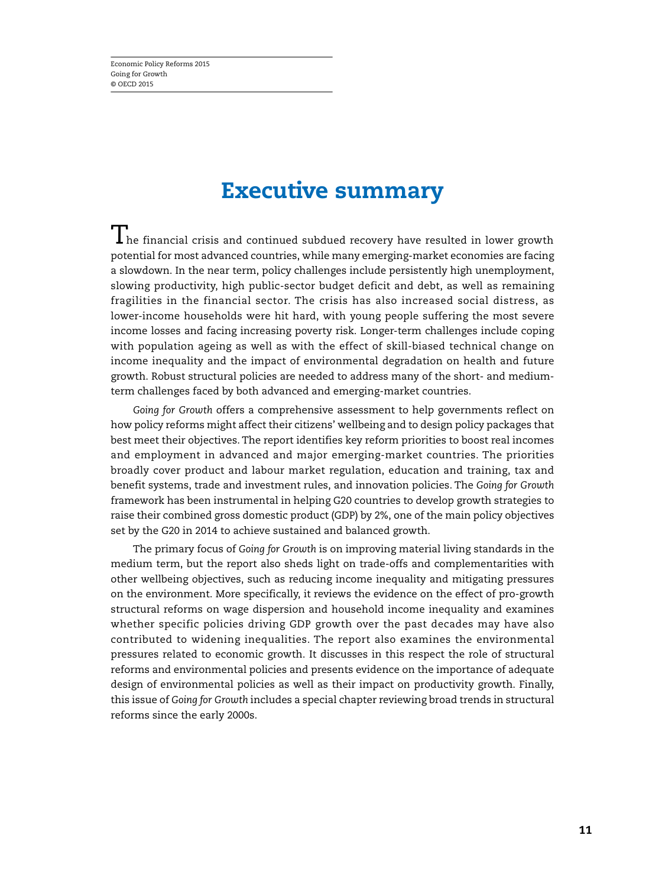# **Executive summary**

 $\bm 1$  he financial crisis and continued subdued recovery have resulted in lower growth potential for most advanced countries, while many emerging-market economies are facing a slowdown. In the near term, policy challenges include persistently high unemployment, slowing productivity, high public-sector budget deficit and debt, as well as remaining fragilities in the financial sector. The crisis has also increased social distress, as lower-income households were hit hard, with young people suffering the most severe income losses and facing increasing poverty risk. Longer-term challenges include coping with population ageing as well as with the effect of skill-biased technical change on income inequality and the impact of environmental degradation on health and future growth. Robust structural policies are needed to address many of the short- and mediumterm challenges faced by both advanced and emerging-market countries.

*Going for Growth* offers a comprehensive assessment to help governments reflect on how policy reforms might affect their citizens' wellbeing and to design policy packages that best meet their objectives. The report identifies key reform priorities to boost real incomes and employment in advanced and major emerging-market countries. The priorities broadly cover product and labour market regulation, education and training, tax and benefit systems, trade and investment rules, and innovation policies. The *Going for Growth* framework has been instrumental in helping G20 countries to develop growth strategies to raise their combined gross domestic product (GDP) by 2%, one of the main policy objectives set by the G20 in 2014 to achieve sustained and balanced growth.

The primary focus of *Going for Growth* is on improving material living standards in the medium term, but the report also sheds light on trade-offs and complementarities with other wellbeing objectives, such as reducing income inequality and mitigating pressures on the environment. More specifically, it reviews the evidence on the effect of pro-growth structural reforms on wage dispersion and household income inequality and examines whether specific policies driving GDP growth over the past decades may have also contributed to widening inequalities. The report also examines the environmental pressures related to economic growth. It discusses in this respect the role of structural reforms and environmental policies and presents evidence on the importance of adequate design of environmental policies as well as their impact on productivity growth. Finally, this issue of *Going for Growth* includes a special chapter reviewing broad trends in structural reforms since the early 2000s.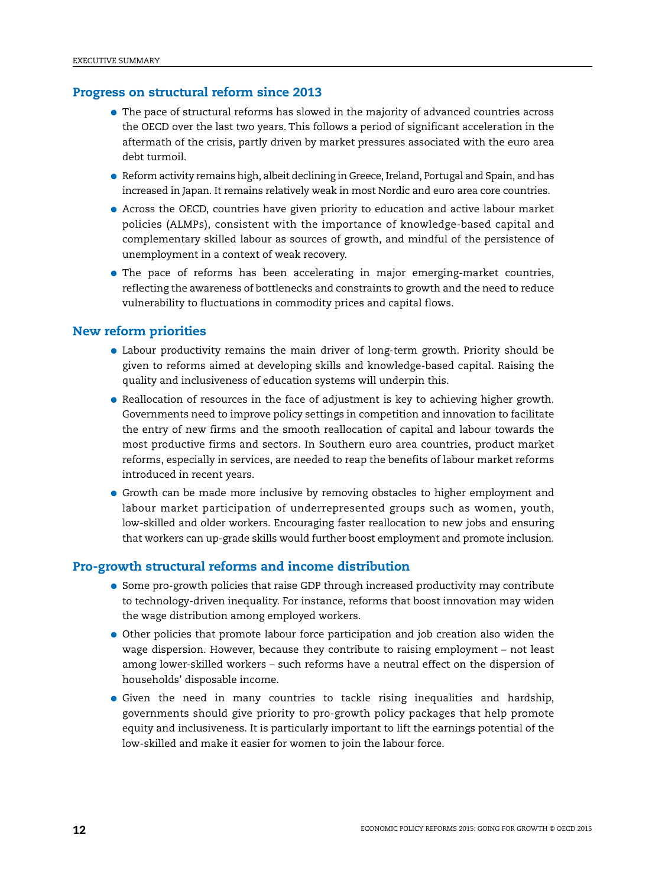### **Progress on structural reform since 2013**

- The pace of structural reforms has slowed in the majority of advanced countries across the OECD over the last two years. This follows a period of significant acceleration in the aftermath of the crisis, partly driven by market pressures associated with the euro area debt turmoil.
- Reform activity remains high, albeit declining in Greece, Ireland, Portugal and Spain, and has increased in Japan. It remains relatively weak in most Nordic and euro area core countries.
- Across the OECD, countries have given priority to education and active labour market policies (ALMPs), consistent with the importance of knowledge-based capital and complementary skilled labour as sources of growth, and mindful of the persistence of unemployment in a context of weak recovery.
- The pace of reforms has been accelerating in major emerging-market countries, reflecting the awareness of bottlenecks and constraints to growth and the need to reduce vulnerability to fluctuations in commodity prices and capital flows.

### **New reform priorities**

- Labour productivity remains the main driver of long-term growth. Priority should be given to reforms aimed at developing skills and knowledge-based capital. Raising the quality and inclusiveness of education systems will underpin this.
- Reallocation of resources in the face of adjustment is key to achieving higher growth. Governments need to improve policy settings in competition and innovation to facilitate the entry of new firms and the smooth reallocation of capital and labour towards the most productive firms and sectors. In Southern euro area countries, product market reforms, especially in services, are needed to reap the benefits of labour market reforms introduced in recent years.
- Growth can be made more inclusive by removing obstacles to higher employment and labour market participation of underrepresented groups such as women, youth, low-skilled and older workers. Encouraging faster reallocation to new jobs and ensuring that workers can up-grade skills would further boost employment and promote inclusion.

# **Pro-growth structural reforms and income distribution**

- Some pro-growth policies that raise GDP through increased productivity may contribute to technology-driven inequality. For instance, reforms that boost innovation may widen the wage distribution among employed workers.
- Other policies that promote labour force participation and job creation also widen the wage dispersion. However, because they contribute to raising employment – not least among lower-skilled workers – such reforms have a neutral effect on the dispersion of households' disposable income.
- Given the need in many countries to tackle rising inequalities and hardship, governments should give priority to pro-growth policy packages that help promote equity and inclusiveness. It is particularly important to lift the earnings potential of the low-skilled and make it easier for women to join the labour force.